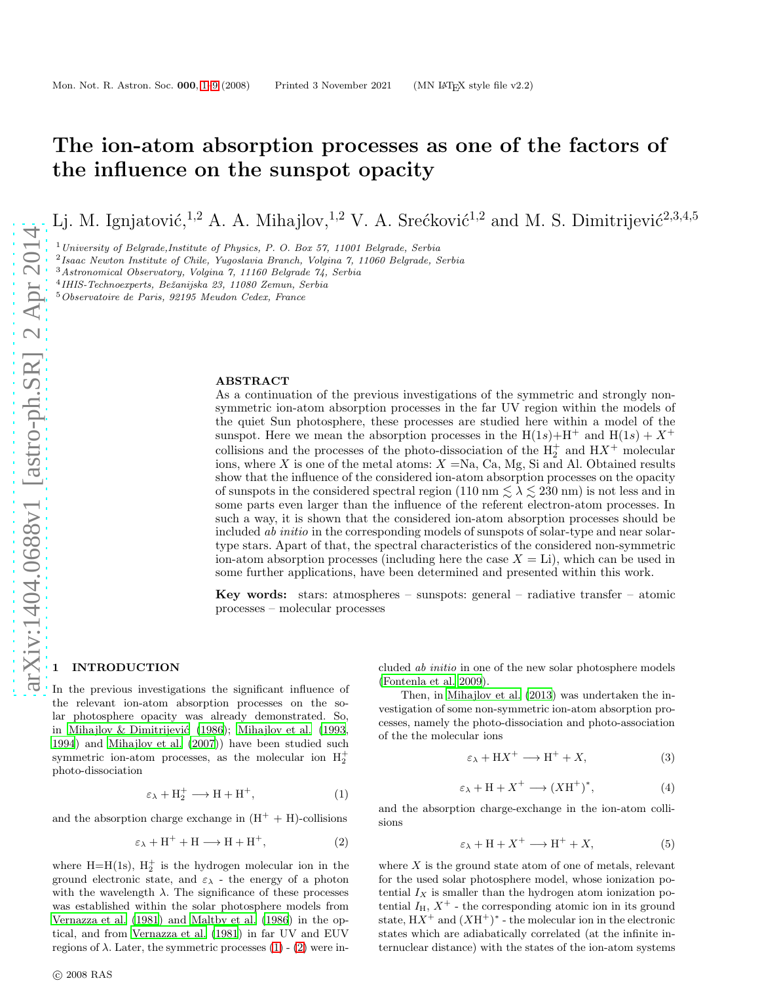# The ion-atom absorption processes as one of the factors of the influence on the sunspot opacity

Lj. M. Ignjatović,<sup>1,2</sup> A. A. Mihajlov,<sup>1,2</sup> V. A. Srećković<sup>1,2</sup> and M. S. Dimitrijević<sup>2,3,4,5</sup>

 $1$  University of Belgrade, Institute of Physics, P. O. Box 57, 11001 Belgrade, Serbia

2 Isaac Newton Institute of Chile, Yugoslavia Branch, Volgina 7, 11060 Belgrade, Serbia

<sup>3</sup>Astronomical Observatory, Volgina 7, 11160 Belgrade 74, Serbia

4 IHIS-Technoexperts, Beˇzanijska 23, 11080 Zemun, Serbia

<sup>5</sup>Observatoire de Paris, 92195 Meudon Cedex, France

#### ABSTRACT

As a continuation of the previous investigations of the symmetric and strongly nonsymmetric ion-atom absorption processes in the far UV region within the models of the quiet Sun photosphere, these processes are studied here within a model of the sunspot. Here we mean the absorption processes in the  $H(1s) + H^+$  and  $H(1s) + X^+$ collisions and the processes of the photo-dissociation of the  $H_2^+$  and  $H X^+$  molecular ions, where X is one of the metal atoms:  $X = Na$ , Ca, Mg, Si and Al. Obtained results show that the influence of the considered ion-atom absorption processes on the opacity of sunspots in the considered spectral region (110 nm  $\lesssim \lambda \lesssim 230$  nm) is not less and in some parts even larger than the influence of the referent electron-atom processes. In such a way, it is shown that the considered ion-atom absorption processes should be included *ab initio* in the corresponding models of sunspots of solar-type and near solartype stars. Apart of that, the spectral characteristics of the considered non-symmetric ion-atom absorption processes (including here the case  $X = \text{Li}$ ), which can be used in some further applications, have been determined and presented within this work.

**Key words:** stars: atmospheres – sunspots: general – radiative transfer – atomic processes – molecular processes

#### <span id="page-0-0"></span>**INTRODUCTION**

In the previous investigations the significant influence of the relevant ion-atom absorption processes on the solar photosphere opacity was already demonstrated. So, in Mihajlov & Dimitrijević (1986); [Mihajlov et al. \(1993,](#page-8-1) [1994](#page-8-2)) and [Mihajlov et al. \(2007](#page-8-3))) have been studied such symmetric ion-atom processes, as the molecular ion  $H_2^+$ photo-dissociation

<span id="page-0-1"></span>
$$
\varepsilon_{\lambda} + H_2^+ \longrightarrow H + H^+, \tag{1}
$$

and the absorption charge exchange in  $(H^+ + H)$ -collisions

<span id="page-0-2"></span>
$$
\varepsilon_{\lambda} + H^{+} + H \longrightarrow H + H^{+}, \tag{2}
$$

where  $H=H(1s)$ ,  $H_2^+$  is the hydrogen molecular ion in the ground electronic state, and  $\varepsilon_{\lambda}$  - the energy of a photon with the wavelength  $\lambda$ . The significance of these processes was established within the solar photosphere models from [Vernazza et al. \(1981\)](#page-8-4) and [Maltby et al. \(1986](#page-8-5)) in the optical, and from [Vernazza et al. \(1981](#page-8-4)) in far UV and EUV regions of  $\lambda$ . Later, the symmetric processes [\(1\)](#page-0-1) - [\(2\)](#page-0-2) were included ab initio in one of the new solar photosphere models [\(Fontenla et al. 2009](#page-8-6)).

Then, in [Mihajlov et al. \(2013\)](#page-8-7) was undertaken the investigation of some non-symmetric ion-atom absorption processes, namely the photo-dissociation and photo-association of the the molecular ions

<span id="page-0-3"></span>
$$
\varepsilon_{\lambda} + \mathbf{H} \mathbf{X}^+ \longrightarrow \mathbf{H}^+ + \mathbf{X},\tag{3}
$$

<span id="page-0-5"></span>
$$
\varepsilon_{\lambda} + H + X^{+} \longrightarrow (XH^{+})^{*}, \tag{4}
$$

and the absorption charge-exchange in the ion-atom collisions

<span id="page-0-4"></span>
$$
\varepsilon_{\lambda} + H + X^{+} \longrightarrow H^{+} + X, \tag{5}
$$

where  $X$  is the ground state atom of one of metals, relevant for the used solar photosphere model, whose ionization potential  $I_X$  is smaller than the hydrogen atom ionization potential  $I_H$ ,  $X^+$  - the corresponding atomic ion in its ground state,  $HX^+$  and  $(XH^+)^*$  - the molecular ion in the electronic states which are adiabatically correlated (at the infinite internuclear distance) with the states of the ion-atom systems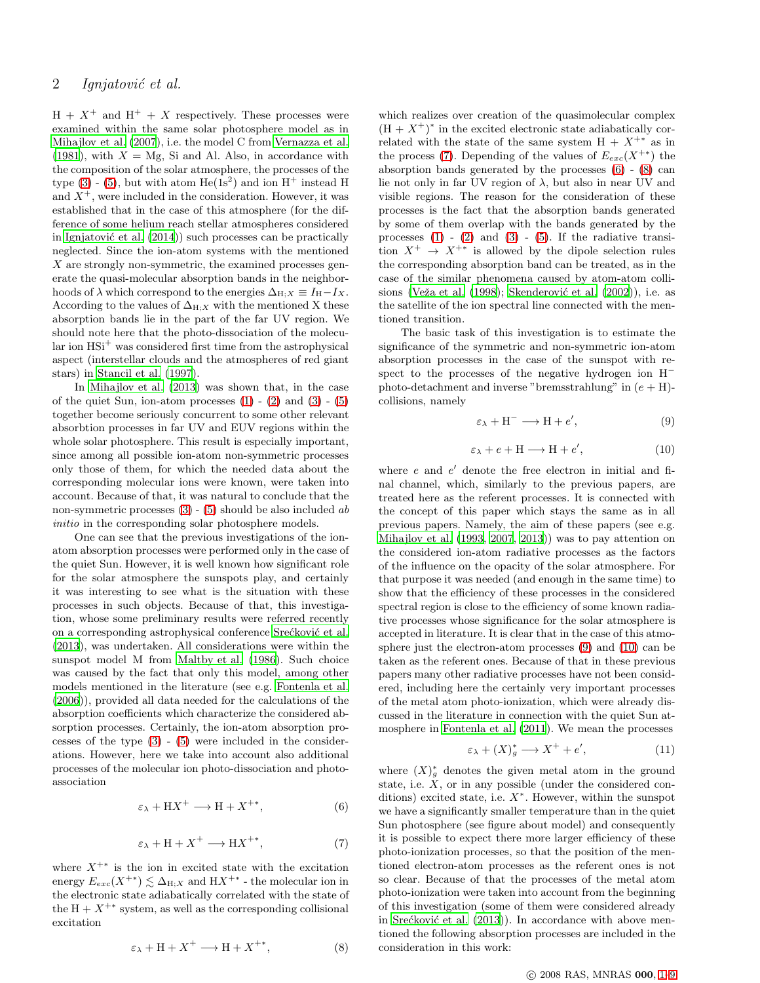$H + X^+$  and  $H^+ + X$  respectively. These processes were examined within the same solar photosphere model as in [Mihajlov et al. \(2007](#page-8-3)), i.e. the model C from [Vernazza et al.](#page-8-4) [\(1981](#page-8-4)), with  $X = Mg$ , Si and Al. Also, in accordance with the composition of the solar atmosphere, the processes of the type  $(3)$  -  $(5)$ , but with atom He $(1s^2)$  and ion H<sup>+</sup> instead H and  $X^+$ , were included in the consideration. However, it was established that in the case of this atmosphere (for the difference of some helium reach stellar atmospheres considered in Ignjatović et al.  $(2014)$ ) such processes can be practically neglected. Since the ion-atom systems with the mentioned  $X$  are strongly non-symmetric, the examined processes generate the quasi-molecular absorption bands in the neighborhoods of  $\lambda$  which correspond to the energies  $\Delta_{H:X} \equiv I_H - I_X$ . According to the values of  $\Delta_{H;X}$  with the mentioned X these absorption bands lie in the part of the far UV region. We should note here that the photo-dissociation of the molecular ion  $HSi^+$  was considered first time from the astrophysical aspect (interstellar clouds and the atmospheres of red giant stars) in [Stancil et al. \(1997\)](#page-8-9).

In [Mihajlov et al. \(2013\)](#page-8-7) was shown that, in the case of the quiet Sun, ion-atom processes  $(1)$  -  $(2)$  and  $(3)$  -  $(5)$ together become seriously concurrent to some other relevant absorbtion processes in far UV and EUV regions within the whole solar photosphere. This result is especially important, since among all possible ion-atom non-symmetric processes only those of them, for which the needed data about the corresponding molecular ions were known, were taken into account. Because of that, it was natural to conclude that the non-symmetric processes  $(3)$  -  $(5)$  should be also included ab initio in the corresponding solar photosphere models.

One can see that the previous investigations of the ionatom absorption processes were performed only in the case of the quiet Sun. However, it is well known how significant role for the solar atmosphere the sunspots play, and certainly it was interesting to see what is the situation with these processes in such objects. Because of that, this investigation, whose some preliminary results were referred recently on a corresponding astrophysical conference Srećković et al. [\(2013](#page-8-10)), was undertaken. All considerations were within the sunspot model M from [Maltby et al. \(1986](#page-8-5)). Such choice was caused by the fact that only this model, among other models mentioned in the literature (see e.g. [Fontenla et al.](#page-8-11) [\(2006](#page-8-11))), provided all data needed for the calculations of the absorption coefficients which characterize the considered absorption processes. Certainly, the ion-atom absorption processes of the type  $(3)$  -  $(5)$  were included in the considerations. However, here we take into account also additional processes of the molecular ion photo-dissociation and photoassociation

<span id="page-1-1"></span>
$$
\varepsilon_{\lambda} + \mathbf{H} \mathbf{X}^+ \longrightarrow \mathbf{H} + \mathbf{X}^{+*},\tag{6}
$$

<span id="page-1-0"></span>
$$
\varepsilon_{\lambda} + H + X^{+} \longrightarrow H X^{+*}, \tag{7}
$$

where  $X^{+*}$  is the ion in excited state with the excitation energy  $E_{exc}(X^{+}) \lesssim \Delta_{H;X}$  and  $HX^{+*}$  - the molecular ion in the electronic state adiabatically correlated with the state of the  $H + X^{+*}$  system, as well as the corresponding collisional excitation

<span id="page-1-2"></span>
$$
\varepsilon_{\lambda} + H + X^{+} \longrightarrow H + X^{+*}, \tag{8}
$$

which realizes over creation of the quasimolecular complex  $(H + X^+)^*$  in the excited electronic state adiabatically correlated with the state of the same system  $H + X^{+*}$  as in the process [\(7\)](#page-1-0). Depending of the values of  $E_{exc}(X^{+*)}$  the absorption bands generated by the processes [\(6\)](#page-1-1) - [\(8\)](#page-1-2) can lie not only in far UV region of  $\lambda$ , but also in near UV and visible regions. The reason for the consideration of these processes is the fact that the absorption bands generated by some of them overlap with the bands generated by the processes  $(1)$  -  $(2)$  and  $(3)$  -  $(5)$ . If the radiative transition  $X^+ \rightarrow X^{+*}$  is allowed by the dipole selection rules the corresponding absorption band can be treated, as in the case of the similar phenomena caused by atom-atom collisions (Veža et al. (1998); Skenderović et al. (2002)), i.e. as the satellite of the ion spectral line connected with the mentioned transition.

The basic task of this investigation is to estimate the significance of the symmetric and non-symmetric ion-atom absorption processes in the case of the sunspot with respect to the processes of the negative hydrogen ion H<sup>−</sup> photo-detachment and inverse "bremsstrahlung" in  $(e + H)$ collisions, namely

<span id="page-1-3"></span>
$$
\varepsilon_{\lambda} + H^{-} \longrightarrow H + e', \tag{9}
$$

<span id="page-1-4"></span>
$$
\varepsilon_{\lambda} + e + H \longrightarrow H + e', \tag{10}
$$

where  $e$  and  $e'$  denote the free electron in initial and final channel, which, similarly to the previous papers, are treated here as the referent processes. It is connected with the concept of this paper which stays the same as in all previous papers. Namely, the aim of these papers (see e.g. [Mihajlov et al. \(1993,](#page-8-1) [2007,](#page-8-3) [2013\)](#page-8-7)) was to pay attention on the considered ion-atom radiative processes as the factors of the influence on the opacity of the solar atmosphere. For that purpose it was needed (and enough in the same time) to show that the efficiency of these processes in the considered spectral region is close to the efficiency of some known radiative processes whose significance for the solar atmosphere is accepted in literature. It is clear that in the case of this atmosphere just the electron-atom processes [\(9\)](#page-1-3) and [\(10\)](#page-1-4) can be taken as the referent ones. Because of that in these previous papers many other radiative processes have not been considered, including here the certainly very important processes of the metal atom photo-ionization, which were already discussed in the literature in connection with the quiet Sun atmosphere in [Fontenla et al. \(2011](#page-8-14)). We mean the processes

<span id="page-1-5"></span>
$$
\varepsilon_{\lambda} + (X)_{g}^{*} \longrightarrow X^{+} + e', \tag{11}
$$

where  $(X)_g^*$  denotes the given metal atom in the ground state, i.e.  $\check{X}$ , or in any possible (under the considered conditions) excited state, i.e.  $X^*$ . However, within the sunspot we have a significantly smaller temperature than in the quiet Sun photosphere (see figure about model) and consequently it is possible to expect there more larger efficiency of these photo-ionization processes, so that the position of the mentioned electron-atom processes as the referent ones is not so clear. Because of that the processes of the metal atom photo-ionization were taken into account from the beginning of this investigation (some of them were considered already in Srećković et al.  $(2013)$ ). In accordance with above mentioned the following absorption processes are included in the consideration in this work: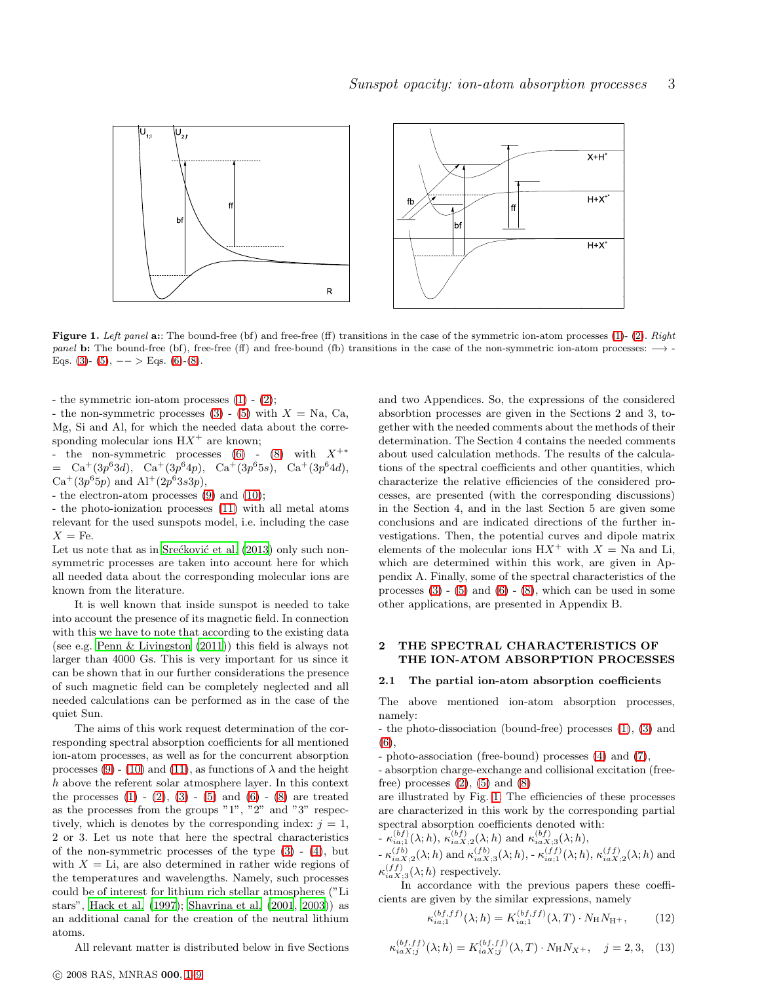

<span id="page-2-0"></span>Figure 1. Left panel a:: The bound-free (bf) and free-free (ff) transitions in the case of the symmetric ion-atom processes [\(1\)](#page-0-1)- [\(2\)](#page-0-2). Right panel b: The bound-free (bf), free-free (ff) and free-bound (fb) transitions in the case of the non-symmetric ion-atom processes:  $\rightarrow$ -Eqs. [\(3\)](#page-0-3)- [\(5\)](#page-0-4),  $--$  > Eqs. [\(6\)](#page-1-1)-[\(8\)](#page-1-2).

- the symmetric ion-atom processes [\(1\)](#page-0-1) - [\(2\)](#page-0-2);

- the non-symmetric processes  $(3)$  -  $(5)$  with  $X =$  Na, Ca, Mg, Si and Al, for which the needed data about the corresponding molecular ions  $HX^+$  are known;

- the non-symmetric processes  $(6)$  -  $(8)$  with  $X^{+\ast}$  $= \text{Ca}^+(3p^63d), \text{Ca}^+(3p^64p), \text{Ca}^+(3p^65s), \text{Ca}^+(3p^64d),$  $Ca^+(3p^65p)$  and  $Al^+(2p^63s3p)$ ,

- the electron-atom processes [\(9\)](#page-1-3) and [\(10\)](#page-1-4);

- the photo-ionization processes [\(11\)](#page-1-5) with all metal atoms relevant for the used sunspots model, i.e. including the case  $X = \text{Fe}.$ 

Let us note that as in Srećković et al. (2013) only such nonsymmetric processes are taken into account here for which all needed data about the corresponding molecular ions are known from the literature.

It is well known that inside sunspot is needed to take into account the presence of its magnetic field. In connection with this we have to note that according to the existing data (see e.g. [Penn & Livingston \(2011](#page-8-15))) this field is always not larger than 4000 Gs. This is very important for us since it can be shown that in our further considerations the presence of such magnetic field can be completely neglected and all needed calculations can be performed as in the case of the quiet Sun.

The aims of this work request determination of the corresponding spectral absorption coefficients for all mentioned ion-atom processes, as well as for the concurrent absorption processes [\(9\)](#page-1-3) - [\(10\)](#page-1-4) and [\(11\)](#page-1-5), as functions of  $\lambda$  and the height h above the referent solar atmosphere layer. In this context the processes  $(1) - (2)$  $(1) - (2)$ ,  $(3) - (5)$  $(3) - (5)$  and  $(6) - (8)$  $(6) - (8)$  are treated as the processes from the groups "1", "2" and "3" respectively, which is denotes by the corresponding index:  $j = 1$ , 2 or 3. Let us note that here the spectral characteristics of the non-symmetric processes of the type  $(3)$  -  $(4)$ , but with  $X =$  Li, are also determined in rather wide regions of the temperatures and wavelengths. Namely, such processes could be of interest for lithium rich stellar atmospheres ("Li stars", [Hack et al. \(1997\)](#page-8-16); [Shavrina et al. \(2001](#page-8-17), [2003\)](#page-8-18)) as an additional canal for the creation of the neutral lithium atoms.

All relevant matter is distributed below in five Sections

c 2008 RAS, MNRAS 000, [1–](#page-0-0)[9](#page-10-0)

and two Appendices. So, the expressions of the considered absorbtion processes are given in the Sections 2 and 3, together with the needed comments about the methods of their determination. The Section 4 contains the needed comments about used calculation methods. The results of the calculations of the spectral coefficients and other quantities, which characterize the relative efficiencies of the considered processes, are presented (with the corresponding discussions) in the Section 4, and in the last Section 5 are given some conclusions and are indicated directions of the further investigations. Then, the potential curves and dipole matrix elements of the molecular ions  $H X^+$  with  $X = Na$  and Li, which are determined within this work, are given in Appendix A. Finally, some of the spectral characteristics of the processes  $(3) - (5)$  $(3) - (5)$  and  $(6) - (8)$  $(6) - (8)$ , which can be used in some other applications, are presented in Appendix B.

## 2 THE SPECTRAL CHARACTERISTICS OF THE ION-ATOM ABSORPTION PROCESSES

### 2.1 The partial ion-atom absorption coefficients

The above mentioned ion-atom absorption processes, namely:

- the photo-dissociation (bound-free) processes [\(1\)](#page-0-1), [\(3\)](#page-0-3) and [\(6\)](#page-1-1),

- photo-association (free-bound) processes [\(4\)](#page-0-5) and [\(7\)](#page-1-0),

- absorption charge-exchange and collisional excitation (freefree) processes  $(2)$ ,  $(5)$  and  $(8)$ 

are illustrated by Fig. [1.](#page-2-0) The efficiencies of these processes are characterized in this work by the corresponding partial spectral absorption coefficients denoted with:

$$
-\kappa_{ia;1}^{(bf)}(\lambda;h), \kappa_{iaX;2}^{(bf)}(\lambda;h) \text{ and } \kappa_{iaX;3}^{(bf)}(\lambda;h),
$$

 $-\kappa_{iaX;2}^{(fb)}(\lambda;h)$  and  $\kappa_{iaX;3}^{(fb)}(\lambda;h)$ ,  $-\kappa_{ia;1}^{(ff)}(\lambda;h)$ ,  $\kappa_{iaX;2}^{(ff)}(\lambda;h)$  and  $\kappa_{iaX;3}^{(ff)}(\lambda;h)$  respectively.

In accordance with the previous papers these coefficients are given by the similar expressions, namely

<span id="page-2-1"></span>
$$
\kappa_{ia;1}^{(bf,f)}(\lambda;h) = K_{ia;1}^{(bf,f)}(\lambda,T) \cdot N_{\rm H} N_{\rm H^{+}},\tag{12}
$$

$$
\kappa_{iaX;j}^{(bf,ff)}(\lambda;h) = K_{iaX;j}^{(bf,ff)}(\lambda,T) \cdot N_{\rm H} N_{X^{+}}, \quad j = 2,3, \quad (13)
$$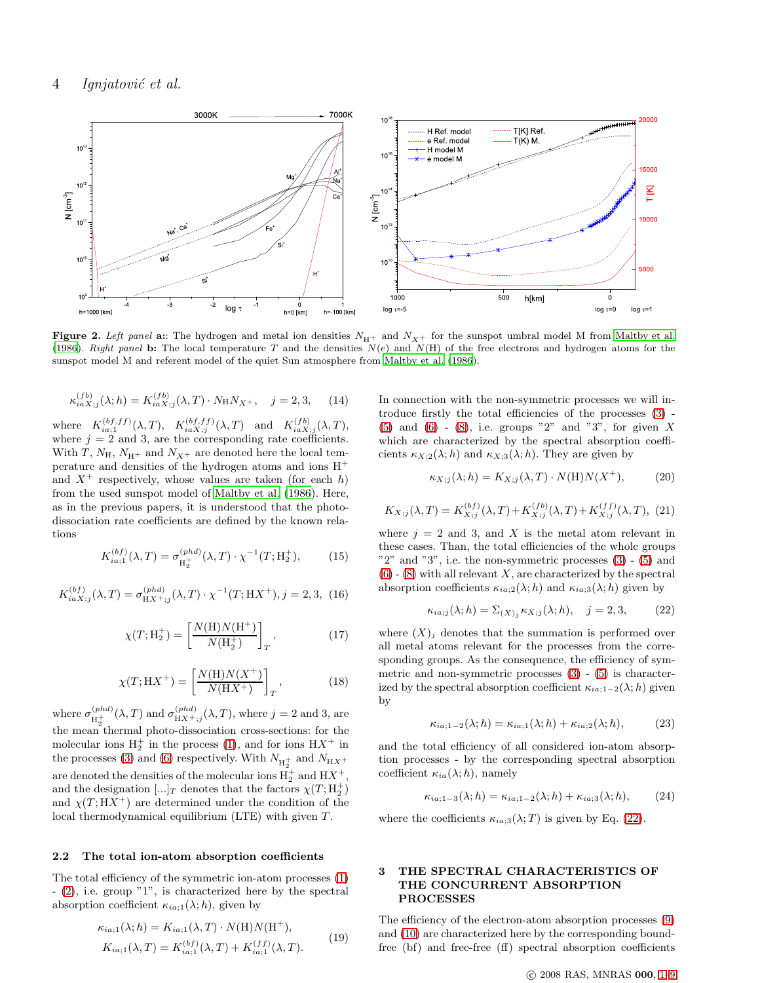

<span id="page-3-2"></span>Figure 2. Left panel a:: The hydrogen and metal ion densities  $N_{\text{H+}}$  and  $N_{X+}$  for the sunspot umbral model M from [Maltby et al.](#page-8-5) [\(1986](#page-8-5)). Right panel b: The local temperature T and the densities  $N(e)$  and  $N(H)$  of the free electrons and hydrogen atoms for the sunspot model M and referent model of the quiet Sun atmosphere from [Maltby et al. \(1986\)](#page-8-5).

<span id="page-3-1"></span>
$$
\kappa_{iaX;j}^{(fb)}(\lambda;h) = K_{iaX;j}^{(fb)}(\lambda,T) \cdot N_{\rm H} N_{X^+}, \quad j = 2,3,\tag{14}
$$

where  $K_{ia;1}^{(bf,ff)}(\lambda,T)$ ,  $K_{iaX;j}^{(bf,ff)}(\lambda,T)$  and  $K_{iaX;j}^{(fb)}(\lambda,T)$ , where  $j = 2$  and 3, are the corresponding rate coefficients. With T,  $N_{\rm H}$ ,  $N_{\rm H}$  and  $N_{X^+}$  are denoted here the local temperature and densities of the hydrogen atoms and ions  $\mathbf{H}^+$ and  $X^+$  respectively, whose values are taken (for each h) from the used sunspot model of [Maltby et al. \(1986\)](#page-8-5). Here, as in the previous papers, it is understood that the photodissociation rate coefficients are defined by the known relations

$$
K_{ia;1}^{(bf)}(\lambda, T) = \sigma_{\mathcal{H}_2^+}^{(phd)}(\lambda, T) \cdot \chi^{-1}(T; \mathcal{H}_2^+),\tag{15}
$$

$$
K_{iaX;j}^{(bf)}(\lambda, T) = \sigma_{\mathbf{H}X^+;j}^{(phd)}(\lambda, T) \cdot \chi^{-1}(T; \mathbf{H}X^+), j = 2, 3, (16)
$$

$$
\chi(T; \mathcal{H}_2^+) = \left[ \frac{N(\mathcal{H})N(\mathcal{H}^+)}{N(\mathcal{H}_2^+)} \right]_T, \tag{17}
$$

$$
\chi(T; \mathcal{H}X^+) = \left[\frac{N(\mathcal{H})N(X^+)}{N(\mathcal{H}X^+)}\right]_T, \tag{18}
$$

where  $\sigma_{\rm tr+}^{(phd)}$  $\frac{p_{\text{rad}}(p_{\text{rad}})}{H_{\text{H}}^+}(\lambda, T)$  and  $\sigma_{\text{H}_X+\text{d}}^{(phd)}(\lambda, T)$ , where  $j = 2$  and 3, are the mean thermal photo-dissociation cross-sections: for the molecular ions  $H_2^+$  in the process [\(1\)](#page-0-1), and for ions  $H X^+$  in the processes [\(3\)](#page-0-3) and [\(6\)](#page-1-1) respectively. With  $N_{\text{H}_2^+}$  and  $N_{\text{H}_X+}$ are denoted the densities of the molecular ions  $H_2^+$  and  $HX^+,$ and the designation  $[\ldots]_T$  denotes that the factors  $\chi(T; \mathcal{H}_2^+)$ and  $\chi(T; H X^+)$  are determined under the condition of the local thermodynamical equilibrium (LTE) with given  $T$ .

#### 2.2 The total ion-atom absorption coefficients

The total efficiency of the symmetric ion-atom processes [\(1\)](#page-0-1) - [\(2\)](#page-0-2), i.e. group "1", is characterized here by the spectral absorption coefficient  $\kappa_{ia;1}(\lambda;h)$ , given by

<span id="page-3-3"></span>
$$
\kappa_{ia;1}(\lambda;h) = K_{ia;1}(\lambda,T) \cdot N(H)N(H^+),
$$
  
\n
$$
K_{ia;1}(\lambda,T) = K_{ia;1}^{(bf)}(\lambda,T) + K_{ia;1}^{(ff)}(\lambda,T).
$$
\n(19)

In connection with the non-symmetric processes we will introduce firstly the total efficiencies of the processes [\(3\)](#page-0-3) - [\(5\)](#page-0-4) and [\(6\)](#page-1-1) - [\(8\)](#page-1-2), i.e. groups "2" and "3", for given  $X$ which are characterized by the spectral absorption coefficients  $\kappa_{X;2}(\lambda; h)$  and  $\kappa_{X;3}(\lambda; h)$ . They are given by

$$
\kappa_{X;j}(\lambda;h) = K_{X;j}(\lambda,T) \cdot N(\mathcal{H})N(X^+),\tag{20}
$$

<span id="page-3-5"></span>
$$
K_{X;j}(\lambda, T) = K_{X;j}^{(bf)}(\lambda, T) + K_{X;j}^{(fb)}(\lambda, T) + K_{X;j}^{(ff)}(\lambda, T), \tag{21}
$$

where  $j = 2$  and 3, and X is the metal atom relevant in these cases. Than, the total efficiencies of the whole groups  $"2"$  and  $"3"$ , i.e. the non-symmetric processes  $(3)$  -  $(5)$  and  $(6)$  -  $(8)$  with all relevant X, are characterized by the spectral absorption coefficients  $\kappa_{ia;2}(\lambda;h)$  and  $\kappa_{ia;3}(\lambda;h)$  given by

<span id="page-3-0"></span>
$$
\kappa_{ia;j}(\lambda;h) = \sum_{(X)_j} \kappa_{X;j}(\lambda;h), \quad j = 2,3,
$$
 (22)

where  $(X)_i$  denotes that the summation is performed over all metal atoms relevant for the processes from the corresponding groups. As the consequence, the efficiency of symmetric and non-symmetric processes  $(3)$  -  $(5)$  is characterized by the spectral absorption coefficient  $\kappa_{ia;1-2}(\lambda; h)$  given by

$$
\kappa_{ia;1-2}(\lambda;h) = \kappa_{ia;1}(\lambda;h) + \kappa_{ia;2}(\lambda;h),\tag{23}
$$

and the total efficiency of all considered ion-atom absorption processes - by the corresponding spectral absorption coefficient  $\kappa_{ia}(\lambda; h)$ , namely

<span id="page-3-4"></span>
$$
\kappa_{ia;1-3}(\lambda;h) = \kappa_{ia;1-2}(\lambda;h) + \kappa_{ia;3}(\lambda;h),\tag{24}
$$

where the coefficients  $\kappa_{ia;3}(\lambda;T)$  is given by Eq. [\(22\)](#page-3-0).

## 3 THE SPECTRAL CHARACTERISTICS OF THE CONCURRENT ABSORPTION PROCESSES

The efficiency of the electron-atom absorption processes [\(9\)](#page-1-3) and [\(10\)](#page-1-4) are characterized here by the corresponding boundfree (bf) and free-free (ff) spectral absorption coefficients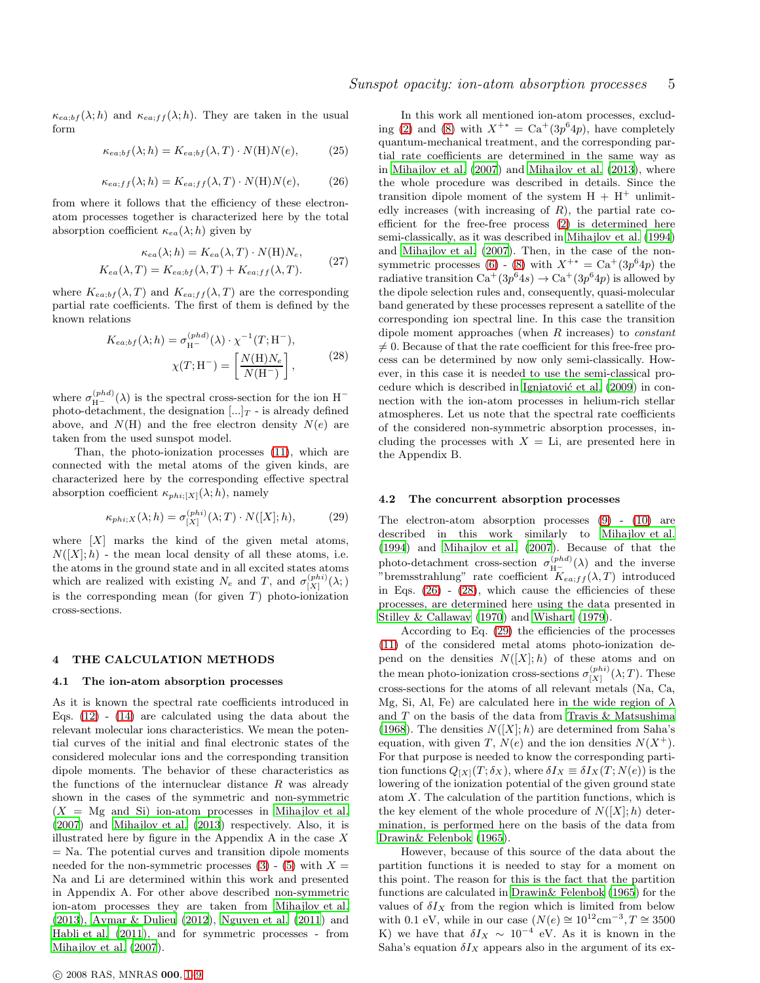$\kappa_{ea;bf}(\lambda;h)$  and  $\kappa_{ea;ff}(\lambda;h)$ . They are taken in the usual form

$$
\kappa_{ea;bf}(\lambda;h) = K_{ea;bf}(\lambda,T) \cdot N(H)N(e),\tag{25}
$$

<span id="page-4-0"></span>
$$
\kappa_{ea;ff}(\lambda;h) = K_{ea;ff}(\lambda,T) \cdot N(H)N(e),\tag{26}
$$

from where it follows that the efficiency of these electronatom processes together is characterized here by the total absorption coefficient  $\kappa_{ea}(\lambda;h)$  given by

$$
\kappa_{ea}(\lambda; h) = K_{ea}(\lambda, T) \cdot N(\mathcal{H}) N_e,
$$
  
\n
$$
K_{ea}(\lambda, T) = K_{ea;bf}(\lambda, T) + K_{ea;ff}(\lambda, T).
$$
 (27)

<span id="page-4-3"></span>where  $K_{ea;bf}(\lambda, T)$  and  $K_{ea;ff}(\lambda, T)$  are the corresponding partial rate coefficients. The first of them is defined by the known relations

$$
K_{ea;bf}(\lambda;h) = \sigma_{\mathcal{H}^{-}}^{(phd)}(\lambda) \cdot \chi^{-1}(T; \mathcal{H}^{-}),
$$
  

$$
\chi(T; \mathcal{H}^{-}) = \left[\frac{N(\mathcal{H})N_e}{N(\mathcal{H}^{-})}\right],
$$
 (28)

<span id="page-4-1"></span>where  $\sigma_{\rm H^{+}}^{(phd)}(\lambda)$  is the spectral cross-section for the ion  ${\rm H^{-}}$ photo-detachment, the designation  $\left[\ldots\right]_T$  - is already defined above, and  $N(H)$  and the free electron density  $N(e)$  are taken from the used sunspot model.

Than, the photo-ionization processes [\(11\)](#page-1-5), which are connected with the metal atoms of the given kinds, are characterized here by the corresponding effective spectral absorption coefficient  $\kappa_{phi;[X]}(\lambda;h)$ , namely

<span id="page-4-2"></span>
$$
\kappa_{phi;X}(\lambda;h) = \sigma_{[X]}^{(phi)}(\lambda;T) \cdot N([X];h),\tag{29}
$$

where  $[X]$  marks the kind of the given metal atoms,  $N([X]; h)$  - the mean local density of all these atoms, i.e. the atoms in the ground state and in all excited states atoms which are realized with existing  $N_e$  and  $T$ , and  $\sigma_{[X]}^{(phi)}(\lambda;)$ is the corresponding mean (for given  $T$ ) photo-ionization cross-sections.

#### 4 THE CALCULATION METHODS

#### 4.1 The ion-atom absorption processes

As it is known the spectral rate coefficients introduced in Eqs.  $(12)$  -  $(14)$  are calculated using the data about the relevant molecular ions characteristics. We mean the potential curves of the initial and final electronic states of the considered molecular ions and the corresponding transition dipole moments. The behavior of these characteristics as the functions of the internuclear distance  $R$  was already shown in the cases of the symmetric and non-symmetric  $(X = Mg$  and Si) ion-atom processes in [Mihajlov et al.](#page-8-3) [\(2007](#page-8-3)) and [Mihajlov et al. \(2013](#page-8-7)) respectively. Also, it is illustrated here by figure in the Appendix A in the case  $X$ = Na. The potential curves and transition dipole moments needed for the non-symmetric processes  $(3)$  -  $(5)$  with  $X =$ Na and Li are determined within this work and presented in Appendix A. For other above described non-symmetric ion-atom processes they are taken from [Mihajlov et al.](#page-8-7) [\(2013](#page-8-7)), [Aymar & Dulieu \(2012](#page-8-19)), [Nguyen et al. \(2011](#page-8-20)) and [Habli et al. \(2011](#page-8-21)), and for symmetric processes - from [Mihajlov et al. \(2007](#page-8-3)).

c 2008 RAS, MNRAS 000, [1–](#page-0-0)[9](#page-10-0)

In this work all mentioned ion-atom processes, exclud-ing [\(2\)](#page-0-2) and [\(8\)](#page-1-2) with  $X^{+*} = \text{Ca}^+(3p^64p)$ , have completely quantum-mechanical treatment, and the corresponding partial rate coefficients are determined in the same way as in [Mihajlov et al. \(2007](#page-8-3)) and [Mihajlov et al. \(2013](#page-8-7)), where the whole procedure was described in details. Since the transition dipole moment of the system  $H + H^+$  unlimitedly increases (with increasing of  $R$ ), the partial rate coefficient for the free-free process [\(2\)](#page-0-2) is determined here semi-classically, as it was described in [Mihajlov et al. \(1994](#page-8-2)) and [Mihajlov et al. \(2007\)](#page-8-3). Then, in the case of the nonsymmetric processes  $(6)$  -  $(8)$  with  $X^{+*} = \text{Ca}^+(3p^64p)$  the radiative transition  $\text{Ca}^+(3p^64s) \rightarrow \text{Ca}^+(3p^64p)$  is allowed by the dipole selection rules and, consequently, quasi-molecular band generated by these processes represent a satellite of the corresponding ion spectral line. In this case the transition dipole moment approaches (when  $R$  increases) to *constant*  $\neq$  0. Because of that the rate coefficient for this free-free process can be determined by now only semi-classically. However, in this case it is needed to use the semi-classical procedure which is described in Ignjatović et al.  $(2009)$  in connection with the ion-atom processes in helium-rich stellar atmospheres. Let us note that the spectral rate coefficients of the considered non-symmetric absorption processes, including the processes with  $X = \text{Li}$ , are presented here in the Appendix B.

#### 4.2 The concurrent absorption processes

The electron-atom absorption processes [\(9\)](#page-1-3) - [\(10\)](#page-1-4) are described in this work similarly to [Mihajlov et al.](#page-8-2) [\(1994](#page-8-2)) and [Mihajlov et al. \(2007\)](#page-8-3). Because of that the photo-detachment cross-section  $\sigma_{H^-}^{(phd)}(\lambda)$  and the inverse "bremsstrahlung" rate coefficient  $K_{ea;ff}(\lambda,T)$  introduced in Eqs.  $(26)$  -  $(28)$ , which cause the efficiencies of these processes, are determined here using the data presented in [Stilley & Callaway \(1970](#page-8-23)) and [Wishart \(1979](#page-8-24)).

According to Eq. [\(29\)](#page-4-2) the efficiencies of the processes [\(11\)](#page-1-5) of the considered metal atoms photo-ionization depend on the densities  $N([X]; h)$  of these atoms and on the mean photo-ionization cross-sections  $\sigma_{[X]}^{(phi)}(\lambda;T)$ . These cross-sections for the atoms of all relevant metals (Na, Ca, Mg, Si, Al, Fe) are calculated here in the wide region of  $\lambda$ and  $T$  on the basis of the data from Travis  $\&$  Matsushima [\(1968](#page-8-25)). The densities  $N([X]; h)$  are determined from Saha's equation, with given T,  $N(e)$  and the ion densities  $N(X^+)$ . For that purpose is needed to know the corresponding partition functions  $Q_{[X]}(T;\delta_X)$ , where  $\delta I_X \equiv \delta I_X(T;N(e))$  is the lowering of the ionization potential of the given ground state atom  $X$ . The calculation of the partition functions, which is the key element of the whole procedure of  $N([X]; h)$  determination, is performed here on the basis of the data from [Drawin& Felenbok \(1965](#page-8-26)).

However, because of this source of the data about the partition functions it is needed to stay for a moment on this point. The reason for this is the fact that the partition functions are calculated in [Drawin& Felenbok \(1965\)](#page-8-26) for the values of  $\delta I_X$  from the region which is limited from below with 0.1 eV, while in our case  $(N(e) \approx 10^{12} \text{cm}^{-3}, T \approx 3500$ K) we have that  $\delta I_X \sim 10^{-4}$  eV. As it is known in the Saha's equation  $\delta I_X$  appears also in the argument of its ex-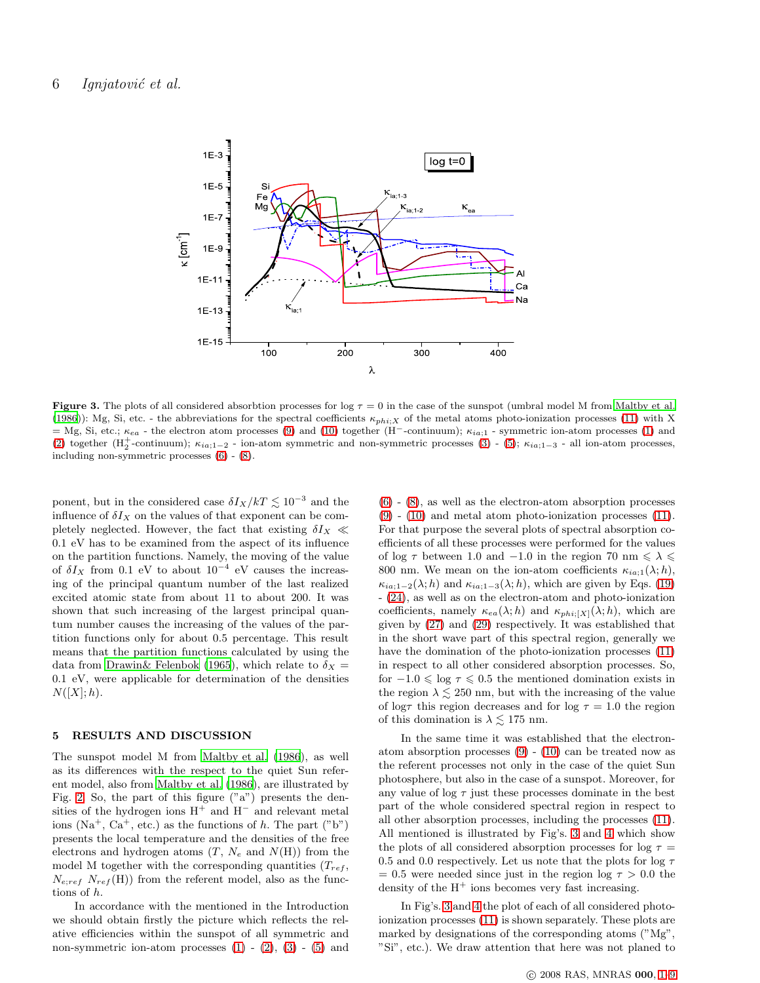

<span id="page-5-0"></span>Figure 3. The plots of all considered absorbtion processes for log  $\tau = 0$  in the case of the sunspot (umbral model M from [Maltby et al.](#page-8-5) [\(1986](#page-8-5))): Mg, Si, etc. - the abbreviations for the spectral coefficients  $\kappa_{phi}: X$  of the metal atoms photo-ionization processes [\(11\)](#page-1-5) with X = Mg, Si, etc.;  $\kappa_{ea}$  - the electron atom processes [\(9\)](#page-1-3) and [\(10\)](#page-1-4) together (H<sup>-</sup>-continuum);  $\kappa_{ia;1}$  - symmetric ion-atom processes [\(1\)](#page-0-1) and [\(2\)](#page-0-2) together ( $H_2^+$ -continuum);  $\kappa_{ia;1-2}$  - ion-atom symmetric and non-symmetric processes [\(3\)](#page-0-3) - [\(5\)](#page-0-4);  $\kappa_{ia;1-3}$  - all ion-atom processes, including non-symmetric processes [\(6\)](#page-1-1) - [\(8\)](#page-1-2).

ponent, but in the considered case  $\delta I_X/kT \lesssim 10^{-3}$  and the influence of  $\delta I_X$  on the values of that exponent can be completely neglected. However, the fact that existing  $\delta I_X \ll$ 0.1 eV has to be examined from the aspect of its influence on the partition functions. Namely, the moving of the value of  $\delta I_X$  from 0.1 eV to about 10<sup>-4</sup> eV causes the increasing of the principal quantum number of the last realized excited atomic state from about 11 to about 200. It was shown that such increasing of the largest principal quantum number causes the increasing of the values of the partition functions only for about 0.5 percentage. This result means that the partition functions calculated by using the data from [Drawin& Felenbok \(1965](#page-8-26)), which relate to  $\delta_X =$ 0.1 eV, were applicable for determination of the densities  $N([X];h).$ 

## 5 RESULTS AND DISCUSSION

The sunspot model M from [Maltby et al. \(1986](#page-8-5)), as well as its differences with the respect to the quiet Sun referent model, also from [Maltby et al. \(1986\)](#page-8-5), are illustrated by Fig. [2.](#page-3-2) So, the part of this figure ("a") presents the densities of the hydrogen ions  $H^+$  and  $H^-$  and relevant metal ions  $(Na^+, Ca^+, etc.)$  as the functions of h. The part  $("b")$ presents the local temperature and the densities of the free electrons and hydrogen atoms  $(T, N_e$  and  $N(H))$  from the model M together with the corresponding quantities  $(T_{ref},$  $N_{e;ref}$   $N_{ref}$ (H)) from the referent model, also as the functions of h.

In accordance with the mentioned in the Introduction we should obtain firstly the picture which reflects the relative efficiencies within the sunspot of all symmetric and non-symmetric ion-atom processes  $(1)$  -  $(2)$ ,  $(3)$  -  $(5)$  and

 $(6)$  -  $(8)$ , as well as the electron-atom absorption processes [\(9\)](#page-1-3) - [\(10\)](#page-1-4) and metal atom photo-ionization processes [\(11\)](#page-1-5). For that purpose the several plots of spectral absorption coefficients of all these processes were performed for the values of log  $\tau$  between 1.0 and -1.0 in the region 70 nm  $\leq \lambda \leq$ 800 nm. We mean on the ion-atom coefficients  $\kappa_{ia;1}(\lambda;h)$ ,  $\kappa_{ia;1-2}(\lambda;h)$  and  $\kappa_{ia;1-3}(\lambda;h)$ , which are given by Eqs. [\(19\)](#page-3-3) - [\(24\)](#page-3-4), as well as on the electron-atom and photo-ionization coefficients, namely  $\kappa_{ea}(\lambda; h)$  and  $\kappa_{phi;[X]}(\lambda; h)$ , which are given by [\(27\)](#page-4-3) and [\(29\)](#page-4-2) respectively. It was established that in the short wave part of this spectral region, generally we have the domination of the photo-ionization processes [\(11\)](#page-1-5) in respect to all other considered absorption processes. So, for  $-1.0 \le \log \tau \le 0.5$  the mentioned domination exists in the region  $\lambda \leq 250$  nm, but with the increasing of the value of log $\tau$  this region decreases and for log  $\tau = 1.0$  the region of this domination is  $\lambda \lesssim 175$  nm.

In the same time it was established that the electronatom absorption processes  $(9) - (10)$  $(9) - (10)$  can be treated now as the referent processes not only in the case of the quiet Sun photosphere, but also in the case of a sunspot. Moreover, for any value of  $\log \tau$  just these processes dominate in the best part of the whole considered spectral region in respect to all other absorption processes, including the processes [\(11\)](#page-1-5). All mentioned is illustrated by Fig's. [3](#page-5-0) and [4](#page-6-0) which show the plots of all considered absorption processes for log  $\tau =$ 0.5 and 0.0 respectively. Let us note that the plots for log  $\tau$  $= 0.5$  were needed since just in the region log  $\tau > 0.0$  the density of the  $H^+$  ions becomes very fast increasing.

In Fig's. [3](#page-5-0) and [4](#page-6-0) the plot of each of all considered photoionization processes [\(11\)](#page-1-5) is shown separately. These plots are marked by designations of the corresponding atoms ("Mg", "Si", etc.). We draw attention that here was not planed to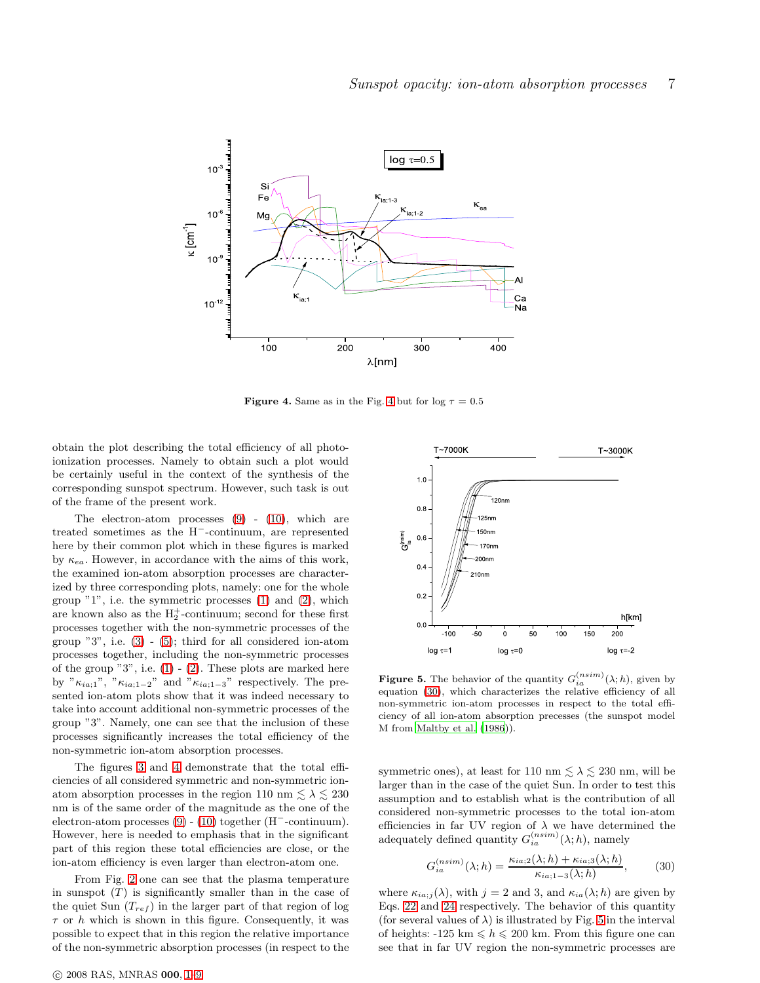

<span id="page-6-0"></span>**Figure [4](#page-6-0).** Same as in the Fig. 4 but for  $log \tau = 0.5$ 

obtain the plot describing the total efficiency of all photoionization processes. Namely to obtain such a plot would be certainly useful in the context of the synthesis of the corresponding sunspot spectrum. However, such task is out of the frame of the present work.

The electron-atom processes  $(9)$  -  $(10)$ , which are treated sometimes as the H<sup>−</sup>-continuum, are represented here by their common plot which in these figures is marked by  $\kappa_{ea}$ . However, in accordance with the aims of this work, the examined ion-atom absorption processes are characterized by three corresponding plots, namely: one for the whole group "1", i.e. the symmetric processes [\(1\)](#page-0-1) and [\(2\)](#page-0-2), which are known also as the  $H_2^+$ -continuum; second for these first processes together with the non-symmetric processes of the group  $"3"$ , i.e.  $(3)$  -  $(5)$ ; third for all considered ion-atom processes together, including the non-symmetric processes of the group "3", i.e.  $(1)$  -  $(2)$ . These plots are marked here by " $\kappa_{ia;1}$ ", " $\kappa_{ia;1-2}$ " and " $\kappa_{ia;1-3}$ " respectively. The presented ion-atom plots show that it was indeed necessary to take into account additional non-symmetric processes of the group "3". Namely, one can see that the inclusion of these processes significantly increases the total efficiency of the non-symmetric ion-atom absorption processes.

The figures [3](#page-5-0) and [4](#page-6-0) demonstrate that the total efficiencies of all considered symmetric and non-symmetric ionatom absorption processes in the region 110 nm  $\leq \lambda \leq 230$ nm is of the same order of the magnitude as the one of the electron-atom processes [\(9\)](#page-1-3) - [\(10\)](#page-1-4) together (H<sup>−</sup>-continuum). However, here is needed to emphasis that in the significant part of this region these total efficiencies are close, or the ion-atom efficiency is even larger than electron-atom one.

From Fig. [2](#page-3-2) one can see that the plasma temperature in sunspot  $(T)$  is significantly smaller than in the case of the quiet Sun  $(T_{ref})$  in the larger part of that region of log  $\tau$  or h which is shown in this figure. Consequently, it was possible to expect that in this region the relative importance of the non-symmetric absorption processes (in respect to the



<span id="page-6-2"></span>**Figure 5.** The behavior of the quantity  $G_{ia}^{(nsim)}(\lambda; h)$ , given by equation [\(30\)](#page-6-1), which characterizes the relative efficiency of all non-symmetric ion-atom processes in respect to the total efficiency of all ion-atom absorption precesses (the sunspot model M from [Maltby et al. \(1986\)](#page-8-5)).

symmetric ones), at least for 110 nm  $\lesssim \lambda \lesssim 230$  nm, will be larger than in the case of the quiet Sun. In order to test this assumption and to establish what is the contribution of all considered non-symmetric processes to the total ion-atom efficiencies in far UV region of  $\lambda$  we have determined the adequately defined quantity  $G_{ia}^{(nsim)}(\lambda;h)$ , namely

<span id="page-6-1"></span>
$$
G_{ia}^{(nsim)}(\lambda;h) = \frac{\kappa_{ia;2}(\lambda;h) + \kappa_{ia;3}(\lambda;h)}{\kappa_{ia;1-3}(\lambda;h)},\tag{30}
$$

where  $\kappa_{ia;j}(\lambda)$ , with  $j = 2$  and 3, and  $\kappa_{ia}(\lambda; h)$  are given by Eqs. [22](#page-3-0) and [24](#page-3-4) respectively. The behavior of this quantity (for several values of  $\lambda$ ) is illustrated by Fig. [5](#page-6-2) in the interval of heights: -125 km  $\leq h \leq 200$  km. From this figure one can see that in far UV region the non-symmetric processes are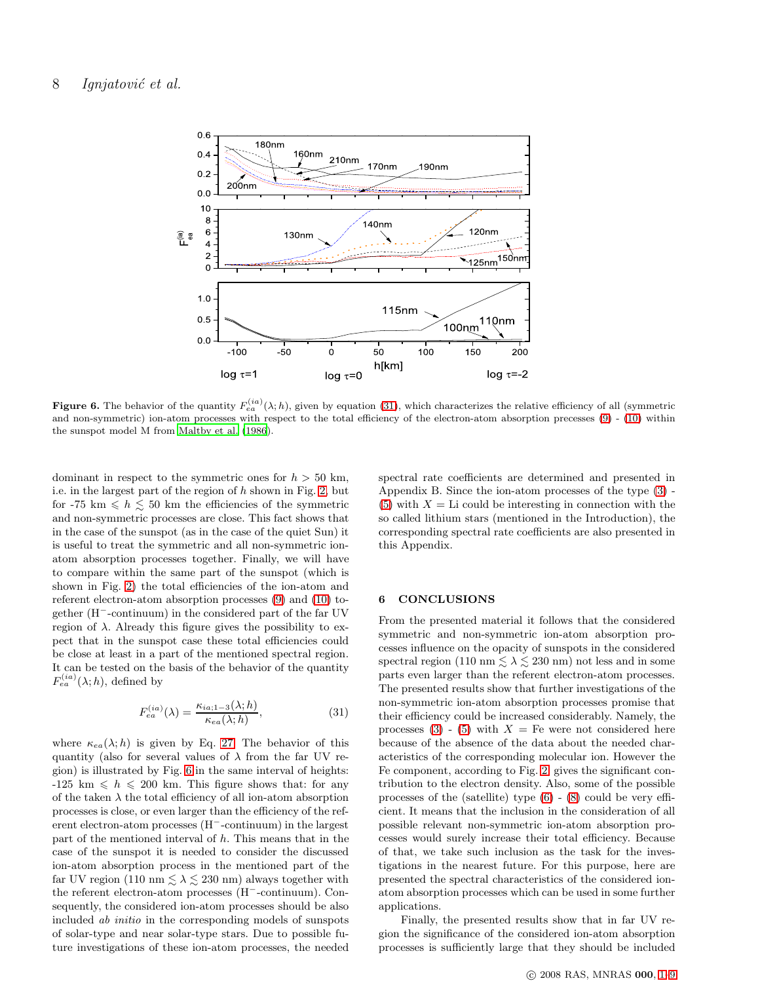

<span id="page-7-1"></span>**Figure 6.** The behavior of the quantity  $F_{ea}^{(ia)}(\lambda; h)$ , given by equation [\(31\)](#page-7-0), which characterizes the relative efficiency of all (symmetric and non-symmetric) ion-atom processes with respect to the total efficiency of the electron-atom absorption precesses [\(9\)](#page-1-3) - [\(10\)](#page-1-4) within the sunspot model M from [Maltby et al. \(1986](#page-8-5)).

dominant in respect to the symmetric ones for  $h > 50$  km, i.e. in the largest part of the region of  $h$  shown in Fig. [2,](#page-3-2) but for -75 km  $\leq h \leq 50$  km the efficiencies of the symmetric and non-symmetric processes are close. This fact shows that in the case of the sunspot (as in the case of the quiet Sun) it is useful to treat the symmetric and all non-symmetric ionatom absorption processes together. Finally, we will have to compare within the same part of the sunspot (which is shown in Fig. [2\)](#page-3-2) the total efficiencies of the ion-atom and referent electron-atom absorption processes [\(9\)](#page-1-3) and [\(10\)](#page-1-4) together (H<sup>−</sup>-continuum) in the considered part of the far UV region of  $\lambda$ . Already this figure gives the possibility to expect that in the sunspot case these total efficiencies could be close at least in a part of the mentioned spectral region. It can be tested on the basis of the behavior of the quantity  $F_{ea}^{(ia)}(\lambda;h)$ , defined by

<span id="page-7-0"></span>
$$
F_{ea}^{(ia)}(\lambda) = \frac{\kappa_{ia;1-3}(\lambda;h)}{\kappa_{ea}(\lambda;h)},
$$
\n(31)

where  $\kappa_{ea}(\lambda; h)$  is given by Eq. [27.](#page-4-3) The behavior of this quantity (also for several values of  $\lambda$  from the far UV region) is illustrated by Fig. [6](#page-7-1) in the same interval of heights:  $-125 \text{ km } \leqslant h \leqslant 200 \text{ km}$ . This figure shows that: for any of the taken  $\lambda$  the total efficiency of all ion-atom absorption processes is close, or even larger than the efficiency of the referent electron-atom processes (H<sup>−</sup>-continuum) in the largest part of the mentioned interval of  $h$ . This means that in the case of the sunspot it is needed to consider the discussed ion-atom absorption process in the mentioned part of the far UV region (110 nm  $\leq \lambda \leq 230$  nm) always together with the referent electron-atom processes (H<sup>−</sup>-continuum). Consequently, the considered ion-atom processes should be also included ab initio in the corresponding models of sunspots of solar-type and near solar-type stars. Due to possible future investigations of these ion-atom processes, the needed spectral rate coefficients are determined and presented in Appendix B. Since the ion-atom processes of the type [\(3\)](#page-0-3) - [\(5\)](#page-0-4) with  $X =$  Li could be interesting in connection with the so called lithium stars (mentioned in the Introduction), the corresponding spectral rate coefficients are also presented in this Appendix.

#### 6 CONCLUSIONS

From the presented material it follows that the considered symmetric and non-symmetric ion-atom absorption processes influence on the opacity of sunspots in the considered spectral region (110 nm  $\lesssim \lambda \lesssim 230$  nm) not less and in some parts even larger than the referent electron-atom processes. The presented results show that further investigations of the non-symmetric ion-atom absorption processes promise that their efficiency could be increased considerably. Namely, the processes  $(3)$  -  $(5)$  with  $X = \text{Fe}$  were not considered here because of the absence of the data about the needed characteristics of the corresponding molecular ion. However the Fe component, according to Fig. [2,](#page-3-2) gives the significant contribution to the electron density. Also, some of the possible processes of the (satellite) type [\(6\)](#page-1-1) - [\(8\)](#page-1-2) could be very efficient. It means that the inclusion in the consideration of all possible relevant non-symmetric ion-atom absorption processes would surely increase their total efficiency. Because of that, we take such inclusion as the task for the investigations in the nearest future. For this purpose, here are presented the spectral characteristics of the considered ionatom absorption processes which can be used in some further applications.

Finally, the presented results show that in far UV region the significance of the considered ion-atom absorption processes is sufficiently large that they should be included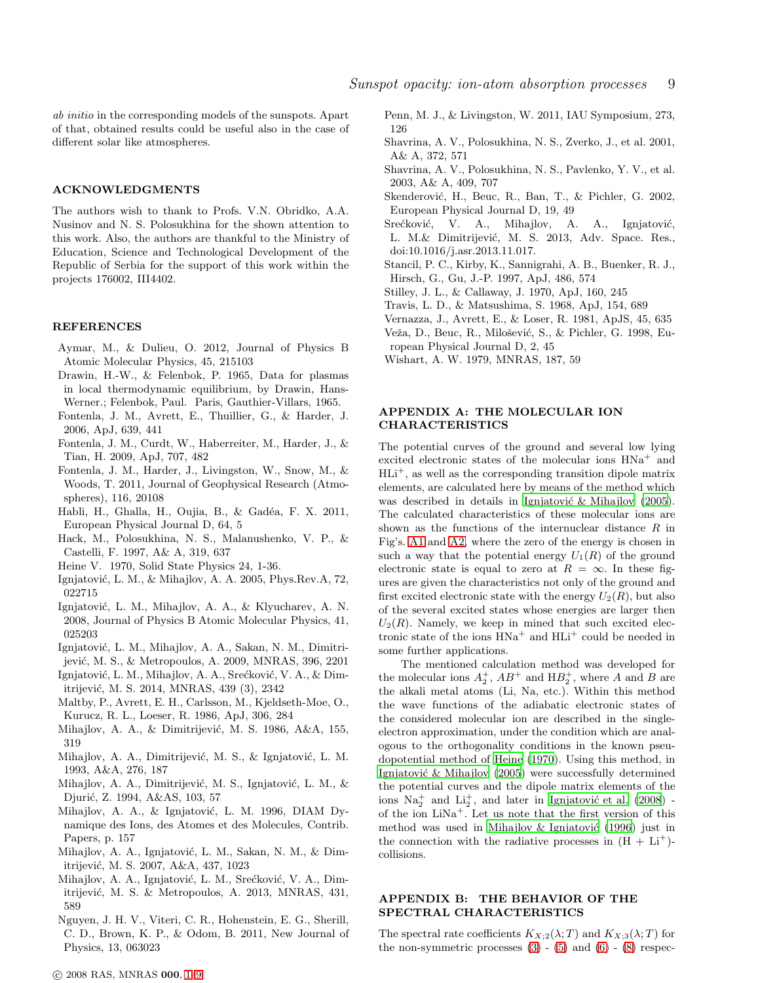ab initio in the corresponding models of the sunspots. Apart of that, obtained results could be useful also in the case of different solar like atmospheres.

## ACKNOWLEDGMENTS

The authors wish to thank to Profs. V.N. Obridko, A.A. Nusinov and N. S. Polosukhina for the shown attention to this work. Also, the authors are thankful to the Ministry of Education, Science and Technological Development of the Republic of Serbia for the support of this work within the projects 176002, III4402.

#### **REFERENCES**

- <span id="page-8-19"></span>Aymar, M., & Dulieu, O. 2012, Journal of Physics B Atomic Molecular Physics, 45, 215103
- <span id="page-8-26"></span>Drawin, H.-W., & Felenbok, P. 1965, Data for plasmas in local thermodynamic equilibrium, by Drawin, Hans-Werner.; Felenbok, Paul. Paris, Gauthier-Villars, 1965.
- <span id="page-8-11"></span>Fontenla, J. M., Avrett, E., Thuillier, G., & Harder, J. 2006, ApJ, 639, 441
- <span id="page-8-6"></span>Fontenla, J. M., Curdt, W., Haberreiter, M., Harder, J., & Tian, H. 2009, ApJ, 707, 482
- <span id="page-8-14"></span>Fontenla, J. M., Harder, J., Livingston, W., Snow, M., & Woods, T. 2011, Journal of Geophysical Research (Atmospheres), 116, 20108
- <span id="page-8-21"></span>Habli, H., Ghalla, H., Oujia, B., & Gadéa, F. X. 2011, European Physical Journal D, 64, 5
- <span id="page-8-16"></span>Hack, M., Polosukhina, N. S., Malanushenko, V. P., & Castelli, F. 1997, A& A, 319, 637
- <span id="page-8-28"></span>Heine V. 1970, Solid State Physics 24, 1-36.
- <span id="page-8-27"></span>Ignjatović, L. M., & Mihajlov, A. A. 2005, Phys.Rev.A, 72, 022715
- <span id="page-8-29"></span>Ignjatović, L. M., Mihajlov, A. A., & Klyucharev, A. N. 2008, Journal of Physics B Atomic Molecular Physics, 41, 025203
- <span id="page-8-22"></span>Ignjatović, L. M., Mihajlov, A. A., Sakan, N. M., Dimitrijević, M. S., & Metropoulos, A. 2009, MNRAS, 396, 2201
- <span id="page-8-8"></span>Ignjatović, L. M., Mihajlov, A. A., Srećković, V. A., & Dimitrijević, M. S. 2014, MNRAS, 439 (3), 2342
- <span id="page-8-5"></span>Maltby, P., Avrett, E. H., Carlsson, M., Kjeldseth-Moe, O., Kurucz, R. L., Loeser, R. 1986, ApJ, 306, 284
- <span id="page-8-0"></span>Mihajlov, A. A., & Dimitrijević, M. S. 1986, A&A, 155, 319
- <span id="page-8-1"></span>Mihajlov, A. A., Dimitrijević, M. S., & Ignjatović, L. M. 1993, A&A, 276, 187
- <span id="page-8-2"></span>Mihajlov, A. A., Dimitrijević, M. S., Ignjatović, L. M., & Djurić, Z. 1994, A&AS, 103, 57
- <span id="page-8-30"></span>Mihajlov, A. A., & Ignjatović, L. M. 1996, DIAM Dynamique des Ions, des Atomes et des Molecules, Contrib. Papers, p. 157
- <span id="page-8-3"></span>Mihajlov, A. A., Ignjatović, L. M., Sakan, N. M., & Dimitrijević, M. S. 2007, A&A, 437, 1023
- <span id="page-8-7"></span>Mihajlov, A. A., Ignjatović, L. M., Srećković, V. A., Dimitrijević, M. S. & Metropoulos, A. 2013, MNRAS, 431, 589
- <span id="page-8-20"></span>Nguyen, J. H. V., Viteri, C. R., Hohenstein, E. G., Sherill, C. D., Brown, K. P., & Odom, B. 2011, New Journal of Physics, 13, 063023

<span id="page-8-15"></span>Penn, M. J., & Livingston, W. 2011, IAU Symposium, 273, 126

- <span id="page-8-17"></span>Shavrina, A. V., Polosukhina, N. S., Zverko, J., et al. 2001, A& A, 372, 571
- <span id="page-8-18"></span>Shavrina, A. V., Polosukhina, N. S., Pavlenko, Y. V., et al. 2003, A& A, 409, 707
- <span id="page-8-13"></span>Skenderović, H., Beuc, R., Ban, T., & Pichler, G. 2002, European Physical Journal D, 19, 49
- <span id="page-8-10"></span>Srećković, V. A., Mihajlov, A. A., Ignjatović, L. M.& Dimitrijević, M. S. 2013, Adv. Space. Res., doi:10.1016/j.asr.2013.11.017.
- <span id="page-8-9"></span>Stancil, P. C., Kirby, K., Sannigrahi, A. B., Buenker, R. J., Hirsch, G., Gu, J.-P. 1997, ApJ, 486, 574
- <span id="page-8-23"></span>Stilley, J. L., & Callaway, J. 1970, ApJ, 160, 245
- <span id="page-8-25"></span>Travis, L. D., & Matsushima, S. 1968, ApJ, 154, 689
- <span id="page-8-4"></span>Vernazza, J., Avrett, E., & Loser, R. 1981, ApJS, 45, 635
- <span id="page-8-12"></span>Veža, D., Beuc, R., Milošević, S., & Pichler, G. 1998, European Physical Journal D, 2, 45
- <span id="page-8-24"></span>Wishart, A. W. 1979, MNRAS, 187, 59

## APPENDIX A: THE MOLECULAR ION CHARACTERISTICS

The potential curves of the ground and several low lying excited electronic states of the molecular ions  $HNA<sup>+</sup>$  and  $HLi^+$ , as well as the corresponding transition dipole matrix elements, are calculated here by means of the method which was described in details in Ignjatović & Mihajlov (2005). The calculated characteristics of these molecular ions are shown as the functions of the internuclear distance  $R$  in Fig's. [A1](#page-9-0) and [A2,](#page-9-1) where the zero of the energy is chosen in such a way that the potential energy  $U_1(R)$  of the ground electronic state is equal to zero at  $R = \infty$ . In these figures are given the characteristics not only of the ground and first excited electronic state with the energy  $U_2(R)$ , but also of the several excited states whose energies are larger then  $U_2(R)$ . Namely, we keep in mined that such excited electronic state of the ions  $HNa<sup>+</sup>$  and  $HLi<sup>+</sup>$  could be needed in some further applications.

The mentioned calculation method was developed for the molecular ions  $A_2^+$ ,  $AB^+$  and  $HB_2^+$ , where A and B are the alkali metal atoms (Li, Na, etc.). Within this method the wave functions of the adiabatic electronic states of the considered molecular ion are described in the singleelectron approximation, under the condition which are analogous to the orthogonality conditions in the known pseudopotential method of [Heine \(1970](#page-8-28)). Using this method, in Ignjatović & Mihajlov (2005) were successfully determined the potential curves and the dipole matrix elements of the ions  $\text{Na}_2^+$  and  $\text{Li}_2^+$ , and later in Ignjatović et al. (2008) of the ion  $LiNa<sup>+</sup>$ . Let us note that the first version of this method was used in Mihajlov & Ignjatović (1996) just in the connection with the radiative processes in  $(H + Li<sup>+</sup>)$ collisions.

## APPENDIX B: THE BEHAVIOR OF THE SPECTRAL CHARACTERISTICS

The spectral rate coefficients  $K_{X;2}(\lambda;T)$  and  $K_{X;3}(\lambda;T)$  for the non-symmetric processes  $(3)$  -  $(5)$  and  $(6)$  -  $(8)$  respec-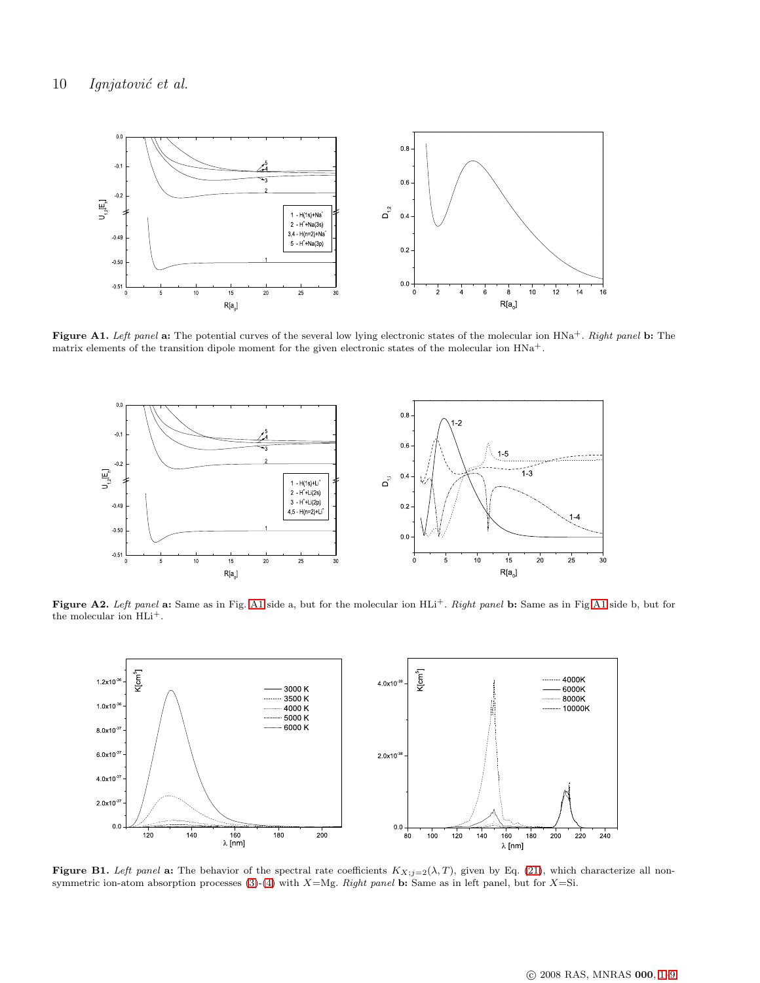

Figure A1. Left panel a: The potential curves of the several low lying electronic states of the molecular ion  $HNA^+$ . Right panel b: The matrix elements of the transition dipole moment for the given electronic states of the molecular ion  $HNA^+$ .

<span id="page-9-0"></span>

Figure A2. Left panel a: Same as in Fig. [A1](#page-9-0) side a, but for the molecular ion HLi<sup>+</sup>. Right panel b: Same as in Fig A1 side b, but for the molecular ion HLi+.

<span id="page-9-1"></span>

<span id="page-9-2"></span>Figure B1. Left panel a: The behavior of the spectral rate coefficients  $K_{X;j=2}(\lambda, T)$ , given by Eq. [\(21\)](#page-3-5), which characterize all non-symmetric ion-atom absorption processes [\(3\)](#page-0-3)-[\(4\)](#page-0-5) with  $X=Mg$ . Right panel b: Same as in left panel, but for  $X=S$ i.